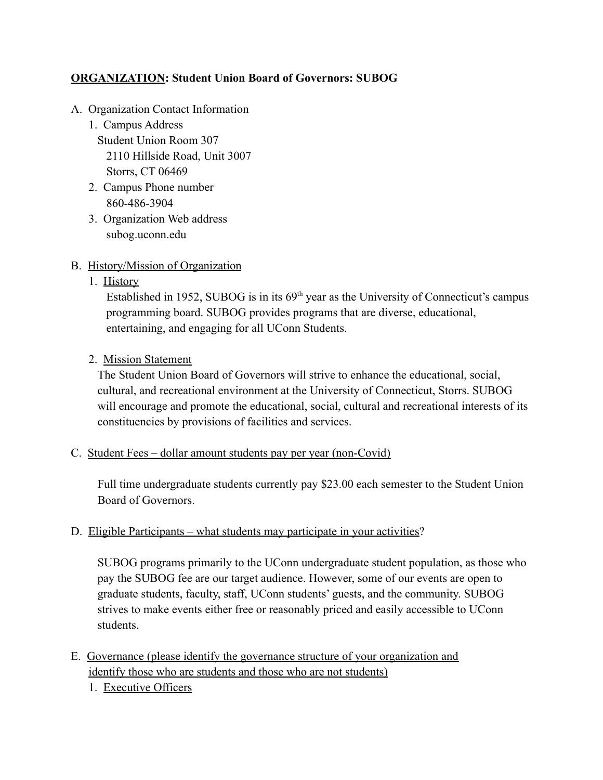# **ORGANIZATION: Student Union Board of Governors: SUBOG**

- A. Organization Contact Information
	- 1. Campus Address Student Union Room 307 2110 Hillside Road, Unit 3007 Storrs, CT 06469
	- 2. Campus Phone number 860-486-3904
	- 3. Organization Web address subog.uconn.edu

### B. History/Mission of Organization

1. History

Established in 1952, SUBOG is in its  $69<sup>th</sup>$  year as the University of Connecticut's campus programming board. SUBOG provides programs that are diverse, educational, entertaining, and engaging for all UConn Students.

2. Mission Statement

The Student Union Board of Governors will strive to enhance the educational, social, cultural, and recreational environment at the University of Connecticut, Storrs. SUBOG will encourage and promote the educational, social, cultural and recreational interests of its constituencies by provisions of facilities and services.

C. Student Fees – dollar amount students pay per year (non-Covid)

Full time undergraduate students currently pay \$23.00 each semester to the Student Union Board of Governors.

### D. Eligible Participants – what students may participate in your activities?

SUBOG programs primarily to the UConn undergraduate student population, as those who pay the SUBOG fee are our target audience. However, some of our events are open to graduate students, faculty, staff, UConn students' guests, and the community. SUBOG strives to make events either free or reasonably priced and easily accessible to UConn students.

- E. Governance (please identify the governance structure of your organization and identify those who are students and those who are not students)
	- 1. Executive Officers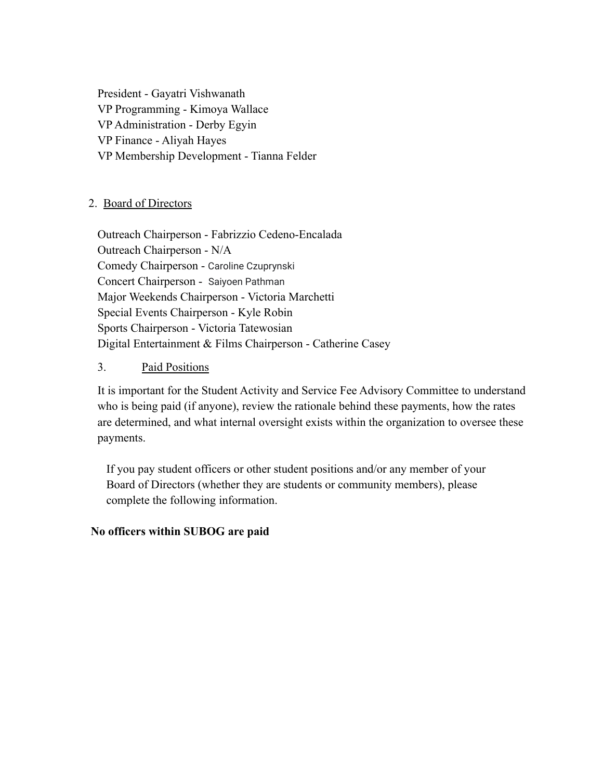President - Gayatri Vishwanath VP Programming - Kimoya Wallace VP Administration - Derby Egyin VP Finance - Aliyah Hayes VP Membership Development - Tianna Felder

# 2. Board of Directors

Outreach Chairperson - Fabrizzio Cedeno-Encalada Outreach Chairperson - N/A Comedy Chairperson - Caroline Czuprynski Concert Chairperson - Saiyoen Pathman Major Weekends Chairperson - Victoria Marchetti Special Events Chairperson - Kyle Robin Sports Chairperson - Victoria Tatewosian Digital Entertainment & Films Chairperson - Catherine Casey

### 3. Paid Positions

It is important for the Student Activity and Service Fee Advisory Committee to understand who is being paid (if anyone), review the rationale behind these payments, how the rates are determined, and what internal oversight exists within the organization to oversee these payments.

If you pay student officers or other student positions and/or any member of your Board of Directors (whether they are students or community members), please complete the following information.

#### **No officers within SUBOG are paid**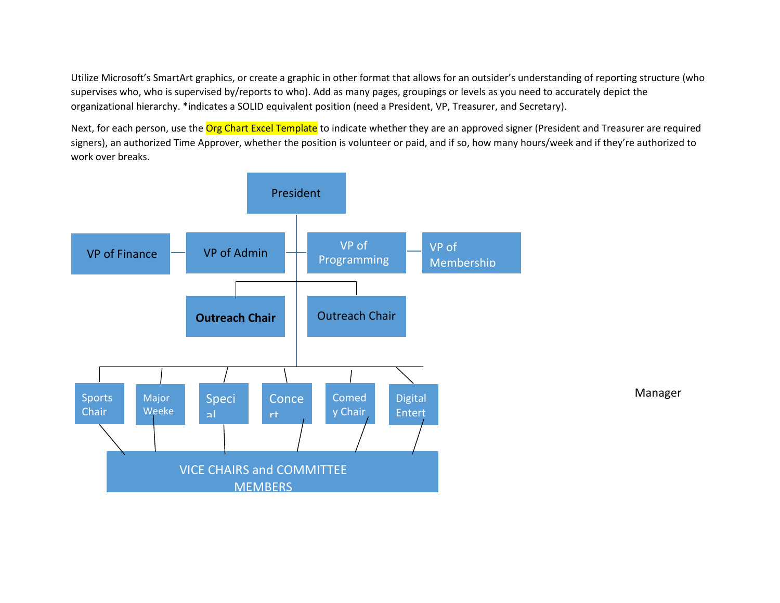Utilize Microsoft's SmartArt graphics, or create a graphic in other format that allows for an outsider's understanding of reporting structure (who supervises who, who is supervised by/reports to who). Add as many pages, groupings or levels as you need to accurately depict the organizational hierarchy. \*indicates a SOLID equivalent position (need a President, VP, Treasurer, and Secretary).

Next, for each person, use the Org Chart Excel Template to indicate whether they are an approved signer (President and Treasurer are required signers), an authorized Time Approver, whether the position is volunteer or paid, and if so, how many hours/week and if they're authorized to work over breaks.

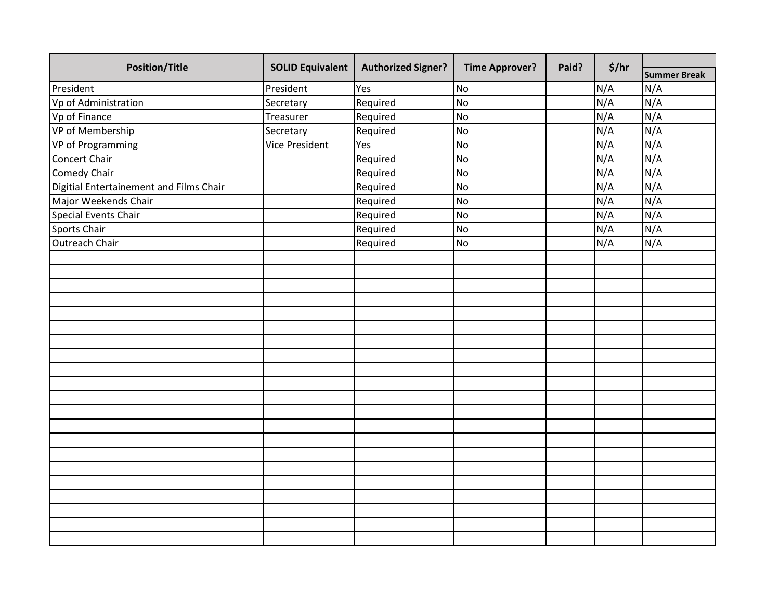| <b>Summer Break</b><br>President<br>N/A<br>N/A<br>Yes<br><b>No</b><br>N/A<br>N/A<br>Required<br><b>No</b><br>Secretary<br>N/A<br>N/A<br>Treasurer<br>Required<br><b>No</b><br>N/A<br>N/A<br>Required<br>Secretary<br><b>No</b><br>N/A<br>N/A<br><b>No</b><br><b>Vice President</b><br>Yes<br>N/A<br>N/A<br>Required<br><b>No</b><br>N/A<br>N/A<br><b>No</b><br>Required<br>N/A<br>N/A<br><b>No</b><br>Required<br>N/A<br>N/A<br>Required<br><b>No</b><br>N/A<br>N/A<br>Required<br><b>No</b><br>N/A<br>N/A<br>Required<br><b>No</b><br>N/A<br>N/A<br><b>No</b><br>Required | <b>Position/Title</b>                   | <b>SOLID Equivalent</b> | <b>Authorized Signer?</b> | <b>Time Approver?</b> | Paid? | \$/hr |  |  |
|----------------------------------------------------------------------------------------------------------------------------------------------------------------------------------------------------------------------------------------------------------------------------------------------------------------------------------------------------------------------------------------------------------------------------------------------------------------------------------------------------------------------------------------------------------------------------|-----------------------------------------|-------------------------|---------------------------|-----------------------|-------|-------|--|--|
|                                                                                                                                                                                                                                                                                                                                                                                                                                                                                                                                                                            |                                         |                         |                           |                       |       |       |  |  |
|                                                                                                                                                                                                                                                                                                                                                                                                                                                                                                                                                                            | President                               |                         |                           |                       |       |       |  |  |
|                                                                                                                                                                                                                                                                                                                                                                                                                                                                                                                                                                            | Vp of Administration                    |                         |                           |                       |       |       |  |  |
|                                                                                                                                                                                                                                                                                                                                                                                                                                                                                                                                                                            | Vp of Finance                           |                         |                           |                       |       |       |  |  |
|                                                                                                                                                                                                                                                                                                                                                                                                                                                                                                                                                                            | VP of Membership                        |                         |                           |                       |       |       |  |  |
|                                                                                                                                                                                                                                                                                                                                                                                                                                                                                                                                                                            | VP of Programming                       |                         |                           |                       |       |       |  |  |
|                                                                                                                                                                                                                                                                                                                                                                                                                                                                                                                                                                            | Concert Chair                           |                         |                           |                       |       |       |  |  |
|                                                                                                                                                                                                                                                                                                                                                                                                                                                                                                                                                                            | <b>Comedy Chair</b>                     |                         |                           |                       |       |       |  |  |
|                                                                                                                                                                                                                                                                                                                                                                                                                                                                                                                                                                            | Digitial Entertainement and Films Chair |                         |                           |                       |       |       |  |  |
|                                                                                                                                                                                                                                                                                                                                                                                                                                                                                                                                                                            | Major Weekends Chair                    |                         |                           |                       |       |       |  |  |
|                                                                                                                                                                                                                                                                                                                                                                                                                                                                                                                                                                            | <b>Special Events Chair</b>             |                         |                           |                       |       |       |  |  |
|                                                                                                                                                                                                                                                                                                                                                                                                                                                                                                                                                                            | Sports Chair                            |                         |                           |                       |       |       |  |  |
|                                                                                                                                                                                                                                                                                                                                                                                                                                                                                                                                                                            | <b>Outreach Chair</b>                   |                         |                           |                       |       |       |  |  |
|                                                                                                                                                                                                                                                                                                                                                                                                                                                                                                                                                                            |                                         |                         |                           |                       |       |       |  |  |
|                                                                                                                                                                                                                                                                                                                                                                                                                                                                                                                                                                            |                                         |                         |                           |                       |       |       |  |  |
|                                                                                                                                                                                                                                                                                                                                                                                                                                                                                                                                                                            |                                         |                         |                           |                       |       |       |  |  |
|                                                                                                                                                                                                                                                                                                                                                                                                                                                                                                                                                                            |                                         |                         |                           |                       |       |       |  |  |
|                                                                                                                                                                                                                                                                                                                                                                                                                                                                                                                                                                            |                                         |                         |                           |                       |       |       |  |  |
|                                                                                                                                                                                                                                                                                                                                                                                                                                                                                                                                                                            |                                         |                         |                           |                       |       |       |  |  |
|                                                                                                                                                                                                                                                                                                                                                                                                                                                                                                                                                                            |                                         |                         |                           |                       |       |       |  |  |
|                                                                                                                                                                                                                                                                                                                                                                                                                                                                                                                                                                            |                                         |                         |                           |                       |       |       |  |  |
|                                                                                                                                                                                                                                                                                                                                                                                                                                                                                                                                                                            |                                         |                         |                           |                       |       |       |  |  |
|                                                                                                                                                                                                                                                                                                                                                                                                                                                                                                                                                                            |                                         |                         |                           |                       |       |       |  |  |
|                                                                                                                                                                                                                                                                                                                                                                                                                                                                                                                                                                            |                                         |                         |                           |                       |       |       |  |  |
|                                                                                                                                                                                                                                                                                                                                                                                                                                                                                                                                                                            |                                         |                         |                           |                       |       |       |  |  |
|                                                                                                                                                                                                                                                                                                                                                                                                                                                                                                                                                                            |                                         |                         |                           |                       |       |       |  |  |
|                                                                                                                                                                                                                                                                                                                                                                                                                                                                                                                                                                            |                                         |                         |                           |                       |       |       |  |  |
|                                                                                                                                                                                                                                                                                                                                                                                                                                                                                                                                                                            |                                         |                         |                           |                       |       |       |  |  |
|                                                                                                                                                                                                                                                                                                                                                                                                                                                                                                                                                                            |                                         |                         |                           |                       |       |       |  |  |
|                                                                                                                                                                                                                                                                                                                                                                                                                                                                                                                                                                            |                                         |                         |                           |                       |       |       |  |  |
|                                                                                                                                                                                                                                                                                                                                                                                                                                                                                                                                                                            |                                         |                         |                           |                       |       |       |  |  |
|                                                                                                                                                                                                                                                                                                                                                                                                                                                                                                                                                                            |                                         |                         |                           |                       |       |       |  |  |
|                                                                                                                                                                                                                                                                                                                                                                                                                                                                                                                                                                            |                                         |                         |                           |                       |       |       |  |  |
|                                                                                                                                                                                                                                                                                                                                                                                                                                                                                                                                                                            |                                         |                         |                           |                       |       |       |  |  |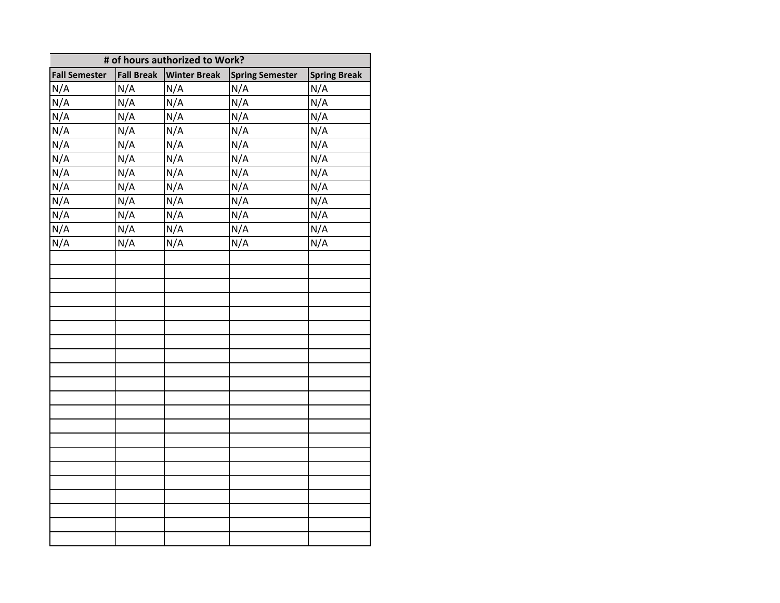| # of hours authorized to Work? |                   |                     |                        |                     |  |  |  |
|--------------------------------|-------------------|---------------------|------------------------|---------------------|--|--|--|
| <b>Fall Semester</b>           | <b>Fall Break</b> | <b>Winter Break</b> | <b>Spring Semester</b> | <b>Spring Break</b> |  |  |  |
| N/A                            | N/A               | N/A                 | N/A                    | N/A                 |  |  |  |
| N/A                            | N/A               | N/A                 | N/A                    | N/A                 |  |  |  |
| N/A                            | N/A               | N/A                 | N/A                    | N/A                 |  |  |  |
| N/A                            | N/A               | N/A                 | N/A                    | N/A                 |  |  |  |
| N/A                            | N/A               | N/A                 | N/A                    | N/A                 |  |  |  |
| N/A                            | N/A               | N/A                 | N/A                    | N/A                 |  |  |  |
| N/A                            | N/A               | N/A                 | N/A                    | N/A                 |  |  |  |
| N/A                            | N/A               | N/A                 | N/A                    | N/A                 |  |  |  |
| N/A                            | N/A               | N/A                 | N/A                    | N/A                 |  |  |  |
| N/A                            | N/A               | N/A                 | N/A                    | N/A                 |  |  |  |
| N/A                            | N/A               | N/A                 | N/A                    | N/A                 |  |  |  |
| N/A                            | N/A               | N/A                 | N/A                    | N/A                 |  |  |  |
|                                |                   |                     |                        |                     |  |  |  |
|                                |                   |                     |                        |                     |  |  |  |
|                                |                   |                     |                        |                     |  |  |  |
|                                |                   |                     |                        |                     |  |  |  |
|                                |                   |                     |                        |                     |  |  |  |
|                                |                   |                     |                        |                     |  |  |  |
|                                |                   |                     |                        |                     |  |  |  |
|                                |                   |                     |                        |                     |  |  |  |
|                                |                   |                     |                        |                     |  |  |  |
|                                |                   |                     |                        |                     |  |  |  |
|                                |                   |                     |                        |                     |  |  |  |
|                                |                   |                     |                        |                     |  |  |  |
|                                |                   |                     |                        |                     |  |  |  |
|                                |                   |                     |                        |                     |  |  |  |
|                                |                   |                     |                        |                     |  |  |  |
|                                |                   |                     |                        |                     |  |  |  |
|                                |                   |                     |                        |                     |  |  |  |
|                                |                   |                     |                        |                     |  |  |  |
|                                |                   |                     |                        |                     |  |  |  |
|                                |                   |                     |                        |                     |  |  |  |
|                                |                   |                     |                        |                     |  |  |  |